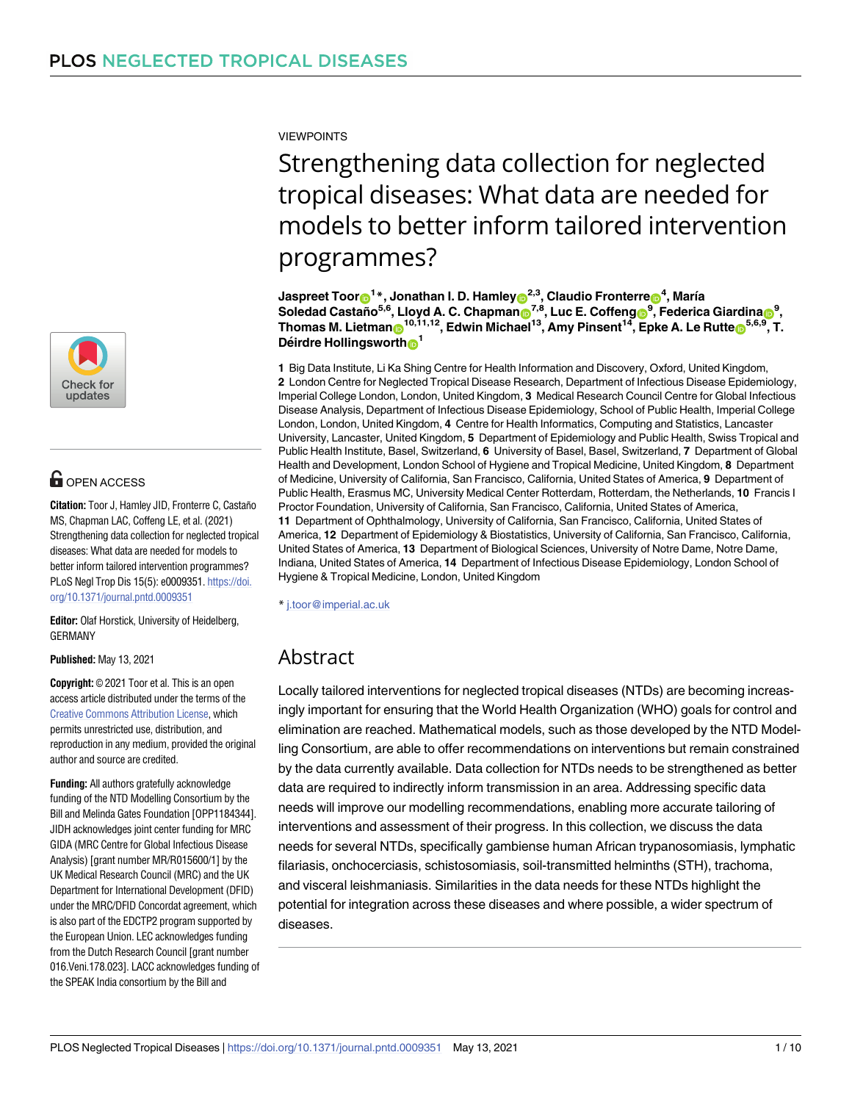

# **OPEN ACCESS**

**Citation:** Toor J, Hamley JID, Fronterre C, Castaño MS, Chapman LAC, Coffeng LE, et al. (2021) Strengthening data collection for neglected tropical diseases: What data are needed for models to better inform tailored intervention programmes? PLoS Negl Trop Dis 15(5): e0009351. [https://doi.](https://doi.org/10.1371/journal.pntd.0009351) [org/10.1371/journal.pntd.0009351](https://doi.org/10.1371/journal.pntd.0009351)

**Editor:** Olaf Horstick, University of Heidelberg, GERMANY

**Published:** May 13, 2021

**Copyright:** © 2021 Toor et al. This is an open access article distributed under the terms of the Creative Commons [Attribution](http://creativecommons.org/licenses/by/4.0/) License, which permits unrestricted use, distribution, and reproduction in any medium, provided the original author and source are credited.

**Funding:** All authors gratefully acknowledge funding of the NTD Modelling Consortium by the Bill and Melinda Gates Foundation [OPP1184344]. JIDH acknowledges joint center funding for MRC GIDA (MRC Centre for Global Infectious Disease Analysis) [grant number MR/R015600/1] by the UK Medical Research Council (MRC) and the UK Department for International Development (DFID) under the MRC/DFID Concordat agreement, which is also part of the EDCTP2 program supported by the European Union. LEC acknowledges funding from the Dutch Research Council [grant number 016.Veni.178.023]. LACC acknowledges funding of the SPEAK India consortium by the Bill and

VIEWPOINTS

# Strengthening data collection for neglected tropical diseases: What data are needed for models to better inform tailored intervention programmes?

 $\boldsymbol{\Gamma}$ Jaspreet  $\boldsymbol{\Gamma}$ oor $\boldsymbol{\Theta}^{\boldsymbol{1}*},$  Jonathan I. D. Hamley $\boldsymbol{\Theta}^{\boldsymbol{2},3},$  Claudio Fronterre $\boldsymbol{\Theta}^{\boldsymbol{4}},$  María  $\delta$ 3, **Soledad Castaño<sup>5,6</sup>, Lloyd A. C. Chapman** $\delta^{7,8}$ **, Luc E. Coffeng** $\delta^{9}$ **, Federica Giardina** $\delta^{9}$ **,**  $\mathbf{F}$  Thomas M. Lietman $\mathbf{D}^{10,11,12}$ , Edwin Michael<sup>13</sup>, Amy Pinsent<sup>14</sup>, Epke A. Le Rutte $\mathbf{D}^{5,6,9}$ , T. **Déirdre Hollingsworth**<sup>1</sup>

**1** Big Data Institute, Li Ka Shing Centre for Health Information and Discovery, Oxford, United Kingdom, **2** London Centre for Neglected Tropical Disease Research, Department of Infectious Disease Epidemiology, Imperial College London, London, United Kingdom, **3** Medical Research Council Centre for Global Infectious Disease Analysis, Department of Infectious Disease Epidemiology, School of Public Health, Imperial College London, London, United Kingdom, **4** Centre for Health Informatics, Computing and Statistics, Lancaster University, Lancaster, United Kingdom, **5** Department of Epidemiology and Public Health, Swiss Tropical and Public Health Institute, Basel, Switzerland, **6** University of Basel, Basel, Switzerland, **7** Department of Global Health and Development, London School of Hygiene and Tropical Medicine, United Kingdom, **8** Department of Medicine, University of California, San Francisco, California, United States of America, **9** Department of Public Health, Erasmus MC, University Medical Center Rotterdam, Rotterdam, the Netherlands, **10** Francis I Proctor Foundation, University of California, San Francisco, California, United States of America, **11** Department of Ophthalmology, University of California, San Francisco, California, United States of America, **12** Department of Epidemiology & Biostatistics, University of California, San Francisco, California, United States of America, **13** Department of Biological Sciences, University of Notre Dame, Notre Dame, Indiana, United States of America, **14** Department of Infectious Disease Epidemiology, London School of Hygiene & Tropical Medicine, London, United Kingdom

\* j.toor@imperial.ac.uk

# Abstract

Locally tailored interventions for neglected tropical diseases (NTDs) are becoming increasingly important for ensuring that the World Health Organization (WHO) goals for control and elimination are reached. Mathematical models, such as those developed by the NTD Modelling Consortium, are able to offer recommendations on interventions but remain constrained by the data currently available. Data collection for NTDs needs to be strengthened as better data are required to indirectly inform transmission in an area. Addressing specific data needs will improve our modelling recommendations, enabling more accurate tailoring of interventions and assessment of their progress. In this collection, we discuss the data needs for several NTDs, specifically gambiense human African trypanosomiasis, lymphatic filariasis, onchocerciasis, schistosomiasis, soil-transmitted helminths (STH), trachoma, and visceral leishmaniasis. Similarities in the data needs for these NTDs highlight the potential for integration across these diseases and where possible, a wider spectrum of diseases.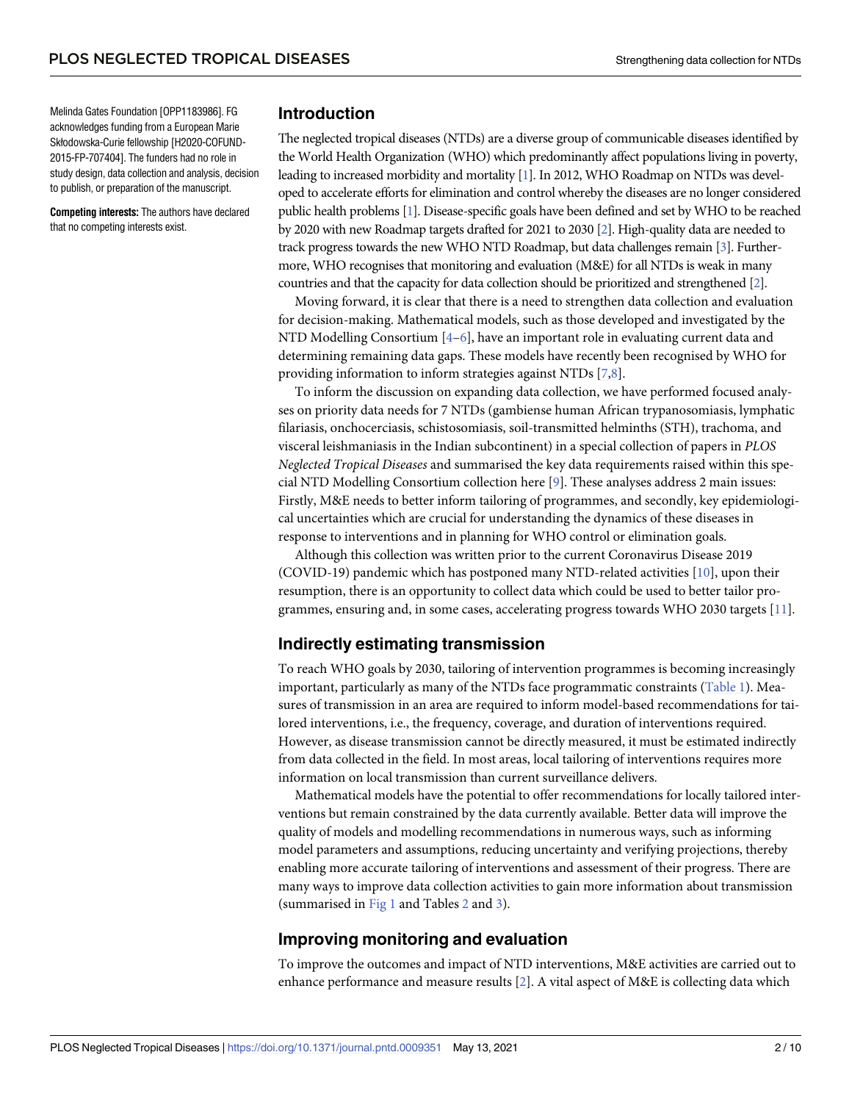<span id="page-1-0"></span>Melinda Gates Foundation [OPP1183986]. FG acknowledges funding from a European Marie Skłodowska-Curie fellowship [H2020-COFUND-2015-FP-707404]. The funders had no role in study design, data collection and analysis, decision to publish, or preparation of the manuscript.

**Competing interests:** The authors have declared that no competing interests exist.

#### **Introduction**

The neglected tropical diseases (NTDs) are a diverse group of communicable diseases identified by the World Health Organization (WHO) which predominantly affect populations living in poverty, leading to increased morbidity and mortality [\[1\]](#page-7-0). In 2012, WHO Roadmap on NTDs was developed to accelerate efforts for elimination and control whereby the diseases are no longer considered public health problems [\[1\]](#page-7-0). Disease-specific goals have been defined and set by WHO to be reached by 2020 with new Roadmap targets drafted for 2021 to 2030 [\[2\]](#page-7-0). High-quality data are needed to track progress towards the new WHO NTD Roadmap, but data challenges remain [[3](#page-7-0)]. Furthermore, WHO recognises that monitoring and evaluation (M&E) for all NTDs is weak in many countries and that the capacity for data collection should be prioritized and strengthened [\[2](#page-7-0)].

Moving forward, it is clear that there is a need to strengthen data collection and evaluation for decision-making. Mathematical models, such as those developed and investigated by the NTD Modelling Consortium [[4–6](#page-7-0)], have an important role in evaluating current data and determining remaining data gaps. These models have recently been recognised by WHO for providing information to inform strategies against NTDs [\[7,8\]](#page-8-0).

To inform the discussion on expanding data collection, we have performed focused analyses on priority data needs for 7 NTDs (gambiense human African trypanosomiasis, lymphatic filariasis, onchocerciasis, schistosomiasis, soil-transmitted helminths (STH), trachoma, and visceral leishmaniasis in the Indian subcontinent) in a special collection of papers in *PLOS Neglected Tropical Diseases* and summarised the key data requirements raised within this special NTD Modelling Consortium collection here [\[9](#page-8-0)]. These analyses address 2 main issues: Firstly, M&E needs to better inform tailoring of programmes, and secondly, key epidemiological uncertainties which are crucial for understanding the dynamics of these diseases in response to interventions and in planning for WHO control or elimination goals.

Although this collection was written prior to the current Coronavirus Disease 2019 (COVID-19) pandemic which has postponed many NTD-related activities [[10](#page-8-0)], upon their resumption, there is an opportunity to collect data which could be used to better tailor programmes, ensuring and, in some cases, accelerating progress towards WHO 2030 targets [[11](#page-8-0)].

## **Indirectly estimating transmission**

To reach WHO goals by 2030, tailoring of intervention programmes is becoming increasingly important, particularly as many of the NTDs face programmatic constraints ([Table](#page-2-0) 1). Measures of transmission in an area are required to inform model-based recommendations for tailored interventions, i.e., the frequency, coverage, and duration of interventions required. However, as disease transmission cannot be directly measured, it must be estimated indirectly from data collected in the field. In most areas, local tailoring of interventions requires more information on local transmission than current surveillance delivers.

Mathematical models have the potential to offer recommendations for locally tailored interventions but remain constrained by the data currently available. Better data will improve the quality of models and modelling recommendations in numerous ways, such as informing model parameters and assumptions, reducing uncertainty and verifying projections, thereby enabling more accurate tailoring of interventions and assessment of their progress. There are many ways to improve data collection activities to gain more information about transmission (summarised in [Fig](#page-2-0) 1 and Tables [2](#page-3-0) and [3](#page-4-0)).

## **Improving monitoring and evaluation**

To improve the outcomes and impact of NTD interventions, M&E activities are carried out to enhance performance and measure results [[2](#page-7-0)]. A vital aspect of M&E is collecting data which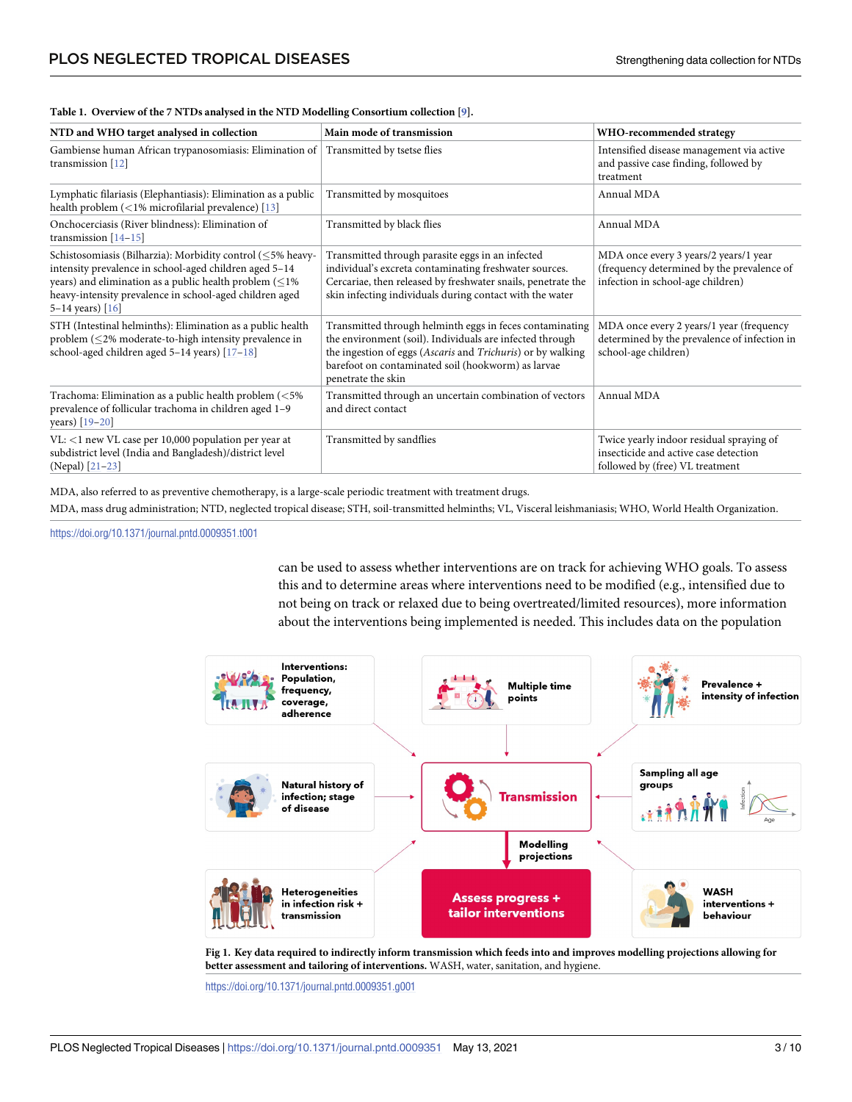| NTD and WHO target analysed in collection                                                                                                                                                                                                                           | Main mode of transmission                                                                                                                                                                                                                                       | WHO-recommended strategy                                                                                                 |
|---------------------------------------------------------------------------------------------------------------------------------------------------------------------------------------------------------------------------------------------------------------------|-----------------------------------------------------------------------------------------------------------------------------------------------------------------------------------------------------------------------------------------------------------------|--------------------------------------------------------------------------------------------------------------------------|
| Gambiense human African trypanosomiasis: Elimination of<br>transmission $[12]$                                                                                                                                                                                      | Transmitted by tsetse flies                                                                                                                                                                                                                                     | Intensified disease management via active<br>and passive case finding, followed by<br>treatment                          |
| Lymphatic filariasis (Elephantiasis): Elimination as a public<br>health problem (<1% microfilarial prevalence) [13]                                                                                                                                                 | Transmitted by mosquitoes                                                                                                                                                                                                                                       | Annual MDA                                                                                                               |
| Onchocerciasis (River blindness): Elimination of<br>transmission $[14-15]$                                                                                                                                                                                          | Transmitted by black flies                                                                                                                                                                                                                                      | Annual MDA                                                                                                               |
| Schistosomiasis (Bilharzia): Morbidity control (≤5% heavy-<br>intensity prevalence in school-aged children aged 5-14<br>years) and elimination as a public health problem $($ < 1%<br>heavy-intensity prevalence in school-aged children aged<br>5–14 years) $[16]$ | Transmitted through parasite eggs in an infected<br>individual's excreta contaminating freshwater sources.<br>Cercariae, then released by freshwater snails, penetrate the<br>skin infecting individuals during contact with the water                          | MDA once every 3 years/2 years/1 year<br>(frequency determined by the prevalence of<br>infection in school-age children) |
| STH (Intestinal helminths): Elimination as a public health<br>problem (<2% moderate-to-high intensity prevalence in<br>school-aged children aged $5-14$ years) $[17-18]$                                                                                            | Transmitted through helminth eggs in feces contaminating<br>the environment (soil). Individuals are infected through<br>the ingestion of eggs (Ascaris and Trichuris) or by walking<br>barefoot on contaminated soil (hookworm) as larvae<br>penetrate the skin | MDA once every 2 years/1 year (frequency<br>determined by the prevalence of infection in<br>school-age children)         |
| Trachoma: Elimination as a public health problem (<5%<br>prevalence of follicular trachoma in children aged 1-9<br>years) [19-20]                                                                                                                                   | Transmitted through an uncertain combination of vectors<br>and direct contact                                                                                                                                                                                   | Annual MDA                                                                                                               |
| $VL:$ <1 new VL case per 10,000 population per year at<br>subdistrict level (India and Bangladesh)/district level<br>(Nepal) [21-23]                                                                                                                                | Transmitted by sandflies                                                                                                                                                                                                                                        | Twice yearly indoor residual spraying of<br>insecticide and active case detection<br>followed by (free) VL treatment     |

#### <span id="page-2-0"></span>**[Table](#page-1-0) 1. Overview of the 7 NTDs analysed in the NTD Modelling Consortium collection [[9\]](#page-8-0).**

MDA, also referred to as preventive chemotherapy, is a large-scale periodic treatment with treatment drugs.

MDA, mass drug administration; NTD, neglected tropical disease; STH, soil-transmitted helminths; VL, Visceral leishmaniasis; WHO, World Health Organization.

<https://doi.org/10.1371/journal.pntd.0009351.t001>

can be used to assess whether interventions are on track for achieving WHO goals. To assess this and to determine areas where interventions need to be modified (e.g., intensified due to not being on track or relaxed due to being overtreated/limited resources), more information about the interventions being implemented is needed. This includes data on the population



[Fig](#page-1-0) 1. Key data required to indirectly inform transmission which feeds into and improves modelling projections allowing for **better assessment and tailoring of interventions.** WASH, water, sanitation, and hygiene.

<https://doi.org/10.1371/journal.pntd.0009351.g001>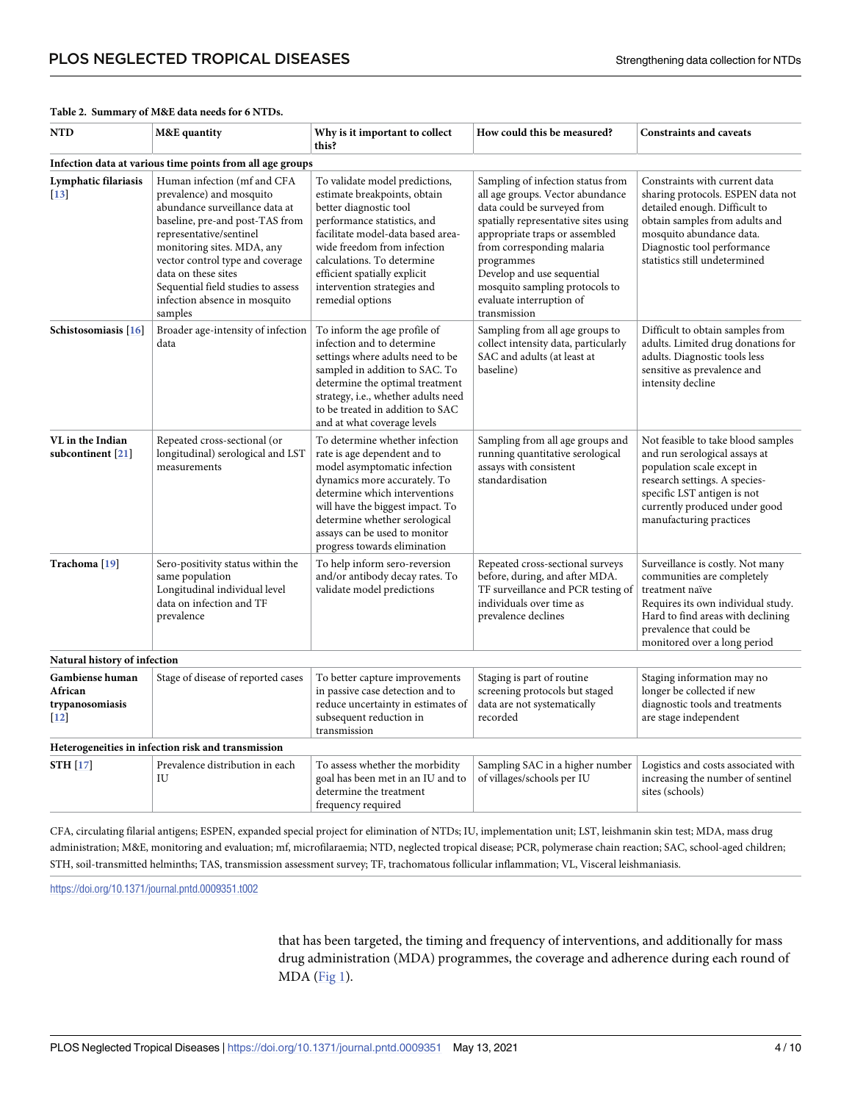| <b>NTD</b>                                              | <b>M&amp;E</b> quantity                                                                                                                                                                                                                                                                                                            | Why is it important to collect<br>this?                                                                                                                                                                                                                                                                      | How could this be measured?                                                                                                                                                                                                                                                                                                            | <b>Constraints and caveats</b>                                                                                                                                                                                                    |
|---------------------------------------------------------|------------------------------------------------------------------------------------------------------------------------------------------------------------------------------------------------------------------------------------------------------------------------------------------------------------------------------------|--------------------------------------------------------------------------------------------------------------------------------------------------------------------------------------------------------------------------------------------------------------------------------------------------------------|----------------------------------------------------------------------------------------------------------------------------------------------------------------------------------------------------------------------------------------------------------------------------------------------------------------------------------------|-----------------------------------------------------------------------------------------------------------------------------------------------------------------------------------------------------------------------------------|
|                                                         | Infection data at various time points from all age groups                                                                                                                                                                                                                                                                          |                                                                                                                                                                                                                                                                                                              |                                                                                                                                                                                                                                                                                                                                        |                                                                                                                                                                                                                                   |
| Lymphatic filariasis<br>$[13]$                          | Human infection (mf and CFA<br>prevalence) and mosquito<br>abundance surveillance data at<br>baseline, pre-and post-TAS from<br>representative/sentinel<br>monitoring sites. MDA, any<br>vector control type and coverage<br>data on these sites<br>Sequential field studies to assess<br>infection absence in mosquito<br>samples | To validate model predictions,<br>estimate breakpoints, obtain<br>better diagnostic tool<br>performance statistics, and<br>facilitate model-data based area-<br>wide freedom from infection<br>calculations. To determine<br>efficient spatially explicit<br>intervention strategies and<br>remedial options | Sampling of infection status from<br>all age groups. Vector abundance<br>data could be surveyed from<br>spatially representative sites using<br>appropriate traps or assembled<br>from corresponding malaria<br>programmes<br>Develop and use sequential<br>mosquito sampling protocols to<br>evaluate interruption of<br>transmission | Constraints with current data<br>sharing protocols. ESPEN data not<br>detailed enough. Difficult to<br>obtain samples from adults and<br>mosquito abundance data.<br>Diagnostic tool performance<br>statistics still undetermined |
| Schistosomiasis [16]                                    | Broader age-intensity of infection<br>data                                                                                                                                                                                                                                                                                         | To inform the age profile of<br>infection and to determine<br>settings where adults need to be<br>sampled in addition to SAC. To<br>determine the optimal treatment<br>strategy, i.e., whether adults need<br>to be treated in addition to SAC<br>and at what coverage levels                                | Sampling from all age groups to<br>collect intensity data, particularly<br>SAC and adults (at least at<br>baseline)                                                                                                                                                                                                                    | Difficult to obtain samples from<br>adults. Limited drug donations for<br>adults. Diagnostic tools less<br>sensitive as prevalence and<br>intensity decline                                                                       |
| VL in the Indian<br>subcontinent [21]                   | Repeated cross-sectional (or<br>longitudinal) serological and LST<br>measurements                                                                                                                                                                                                                                                  | To determine whether infection<br>rate is age dependent and to<br>model asymptomatic infection<br>dynamics more accurately. To<br>determine which interventions<br>will have the biggest impact. To<br>determine whether serological<br>assays can be used to monitor<br>progress towards elimination        | Sampling from all age groups and<br>running quantitative serological<br>assays with consistent<br>standardisation                                                                                                                                                                                                                      | Not feasible to take blood samples<br>and run serological assays at<br>population scale except in<br>research settings. A species-<br>specific LST antigen is not<br>currently produced under good<br>manufacturing practices     |
| Trachoma <sup>[19]</sup>                                | Sero-positivity status within the<br>same population<br>Longitudinal individual level<br>data on infection and TF<br>prevalence                                                                                                                                                                                                    | To help inform sero-reversion<br>and/or antibody decay rates. To<br>validate model predictions                                                                                                                                                                                                               | Repeated cross-sectional surveys<br>before, during, and after MDA.<br>TF surveillance and PCR testing of<br>individuals over time as<br>prevalence declines                                                                                                                                                                            | Surveillance is costly. Not many<br>communities are completely<br>treatment naïve<br>Requires its own individual study.<br>Hard to find areas with declining<br>prevalence that could be<br>monitored over a long period          |
| Natural history of infection                            |                                                                                                                                                                                                                                                                                                                                    |                                                                                                                                                                                                                                                                                                              |                                                                                                                                                                                                                                                                                                                                        |                                                                                                                                                                                                                                   |
| Gambiense human<br>African<br>trypanosomiasis<br>$[12]$ | Stage of disease of reported cases                                                                                                                                                                                                                                                                                                 | To better capture improvements<br>in passive case detection and to<br>reduce uncertainty in estimates of<br>subsequent reduction in<br>transmission                                                                                                                                                          | Staging is part of routine<br>screening protocols but staged<br>data are not systematically<br>recorded                                                                                                                                                                                                                                | Staging information may no<br>longer be collected if new<br>diagnostic tools and treatments<br>are stage independent                                                                                                              |
|                                                         | Heterogeneities in infection risk and transmission                                                                                                                                                                                                                                                                                 |                                                                                                                                                                                                                                                                                                              |                                                                                                                                                                                                                                                                                                                                        |                                                                                                                                                                                                                                   |
| STH [17]                                                | Prevalence distribution in each<br>IU                                                                                                                                                                                                                                                                                              | To assess whether the morbidity<br>goal has been met in an IU and to<br>determine the treatment<br>frequency required                                                                                                                                                                                        | Sampling SAC in a higher number<br>of villages/schools per IU                                                                                                                                                                                                                                                                          | Logistics and costs associated with<br>increasing the number of sentinel<br>sites (schools)                                                                                                                                       |

#### <span id="page-3-0"></span>**[Table](#page-1-0) 2. Summary of M&E data needs for 6 NTDs.**

CFA, circulating filarial antigens; ESPEN, expanded special project for elimination of NTDs; IU, implementation unit; LST, leishmanin skin test; MDA, mass drug administration; M&E, monitoring and evaluation; mf, microfilaraemia; NTD, neglected tropical disease; PCR, polymerase chain reaction; SAC, school-aged children; STH, soil-transmitted helminths; TAS, transmission assessment survey; TF, trachomatous follicular inflammation; VL, Visceral leishmaniasis.

<https://doi.org/10.1371/journal.pntd.0009351.t002>

that has been targeted, the timing and frequency of interventions, and additionally for mass drug administration (MDA) programmes, the coverage and adherence during each round of MDA ([Fig](#page-2-0) 1).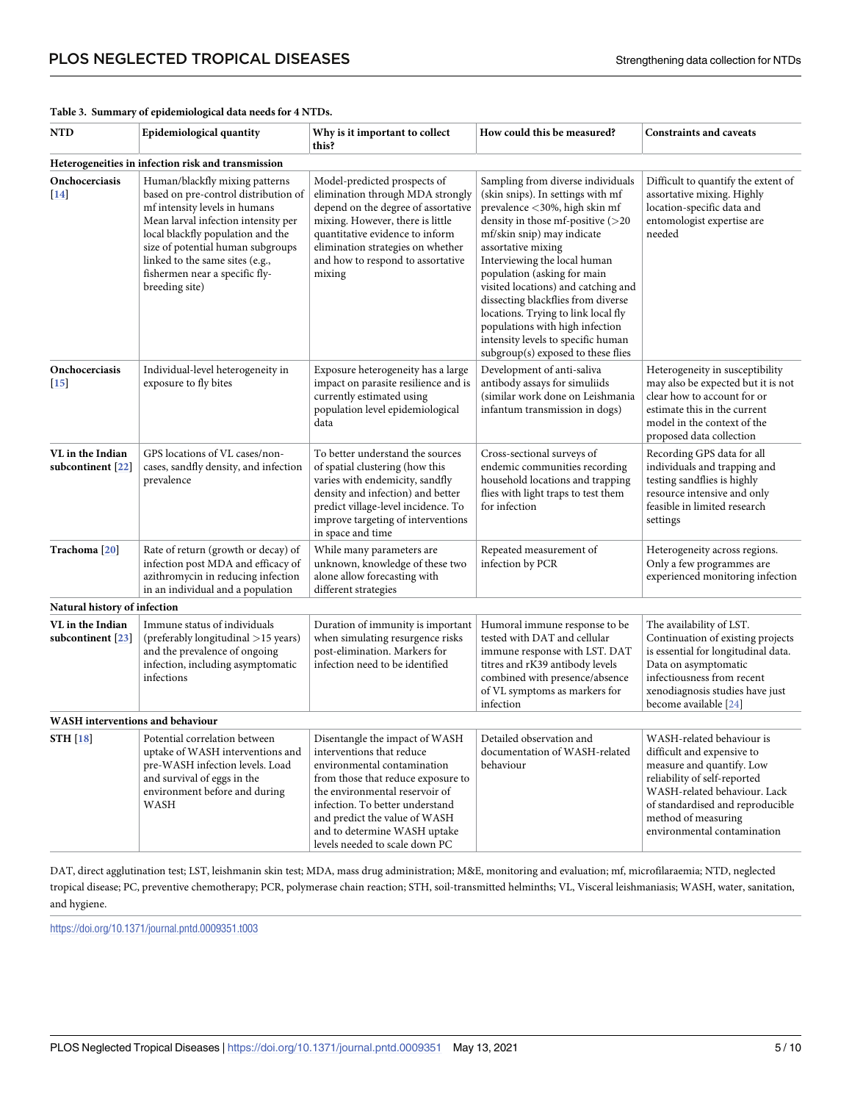| NTD                                                | Epidemiological quantity                                                                                                                                                                                                                                                                                        | Why is it important to collect<br>this?                                                                                                                                                                                                                                                                  | How could this be measured?                                                                                                                                                                                                                                                                                                                                                                                                                                                                        | <b>Constraints and caveats</b>                                                                                                                                                                                                                 |  |  |
|----------------------------------------------------|-----------------------------------------------------------------------------------------------------------------------------------------------------------------------------------------------------------------------------------------------------------------------------------------------------------------|----------------------------------------------------------------------------------------------------------------------------------------------------------------------------------------------------------------------------------------------------------------------------------------------------------|----------------------------------------------------------------------------------------------------------------------------------------------------------------------------------------------------------------------------------------------------------------------------------------------------------------------------------------------------------------------------------------------------------------------------------------------------------------------------------------------------|------------------------------------------------------------------------------------------------------------------------------------------------------------------------------------------------------------------------------------------------|--|--|
| Heterogeneities in infection risk and transmission |                                                                                                                                                                                                                                                                                                                 |                                                                                                                                                                                                                                                                                                          |                                                                                                                                                                                                                                                                                                                                                                                                                                                                                                    |                                                                                                                                                                                                                                                |  |  |
| Onchocerciasis<br>$[14]$                           | Human/blackfly mixing patterns<br>based on pre-control distribution of<br>mf intensity levels in humans<br>Mean larval infection intensity per<br>local blackfly population and the<br>size of potential human subgroups<br>linked to the same sites (e.g.,<br>fishermen near a specific fly-<br>breeding site) | Model-predicted prospects of<br>elimination through MDA strongly<br>depend on the degree of assortative<br>mixing. However, there is little<br>quantitative evidence to inform<br>elimination strategies on whether<br>and how to respond to assortative<br>mixing                                       | Sampling from diverse individuals<br>(skin snips). In settings with mf<br>prevalence <30%, high skin mf<br>density in those mf-positive (>20<br>mf/skin snip) may indicate<br>assortative mixing<br>Interviewing the local human<br>population (asking for main<br>visited locations) and catching and<br>dissecting blackflies from diverse<br>locations. Trying to link local fly<br>populations with high infection<br>intensity levels to specific human<br>subgroup(s) exposed to these flies | Difficult to quantify the extent of<br>assortative mixing. Highly<br>location-specific data and<br>entomologist expertise are<br>needed                                                                                                        |  |  |
| Onchocerciasis<br>$[15]$                           | Individual-level heterogeneity in<br>exposure to fly bites                                                                                                                                                                                                                                                      | Exposure heterogeneity has a large<br>impact on parasite resilience and is<br>currently estimated using<br>population level epidemiological<br>data                                                                                                                                                      | Development of anti-saliva<br>antibody assays for simuliids<br>(similar work done on Leishmania<br>infantum transmission in dogs)                                                                                                                                                                                                                                                                                                                                                                  | Heterogeneity in susceptibility<br>may also be expected but it is not<br>clear how to account for or<br>estimate this in the current<br>model in the context of the<br>proposed data collection                                                |  |  |
| VL in the Indian<br>subcontinent [22]              | GPS locations of VL cases/non-<br>cases, sandfly density, and infection<br>prevalence                                                                                                                                                                                                                           | To better understand the sources<br>of spatial clustering (how this<br>varies with endemicity, sandfly<br>density and infection) and better<br>predict village-level incidence. To<br>improve targeting of interventions<br>in space and time                                                            | Cross-sectional surveys of<br>endemic communities recording<br>household locations and trapping<br>flies with light traps to test them<br>for infection                                                                                                                                                                                                                                                                                                                                            | Recording GPS data for all<br>individuals and trapping and<br>testing sandflies is highly<br>resource intensive and only<br>feasible in limited research<br>settings                                                                           |  |  |
| Trachoma [20]                                      | Rate of return (growth or decay) of<br>infection post MDA and efficacy of<br>azithromycin in reducing infection<br>in an individual and a population                                                                                                                                                            | While many parameters are<br>unknown, knowledge of these two<br>alone allow forecasting with<br>different strategies                                                                                                                                                                                     | Repeated measurement of<br>infection by PCR                                                                                                                                                                                                                                                                                                                                                                                                                                                        | Heterogeneity across regions.<br>Only a few programmes are<br>experienced monitoring infection                                                                                                                                                 |  |  |
| Natural history of infection                       |                                                                                                                                                                                                                                                                                                                 |                                                                                                                                                                                                                                                                                                          |                                                                                                                                                                                                                                                                                                                                                                                                                                                                                                    |                                                                                                                                                                                                                                                |  |  |
| VL in the Indian<br>subcontinent $[23]$            | Immune status of individuals<br>(preferably longitudinal >15 years)<br>and the prevalence of ongoing<br>infection, including asymptomatic<br>infections                                                                                                                                                         | Duration of immunity is important<br>when simulating resurgence risks<br>post-elimination. Markers for<br>infection need to be identified                                                                                                                                                                | Humoral immune response to be<br>tested with DAT and cellular<br>immune response with LST. DAT<br>titres and rK39 antibody levels<br>combined with presence/absence<br>of VL symptoms as markers for<br>infection                                                                                                                                                                                                                                                                                  | The availability of LST.<br>Continuation of existing projects<br>is essential for longitudinal data.<br>Data on asymptomatic<br>infectiousness from recent<br>xenodiagnosis studies have just<br>become available [24]                         |  |  |
| WASH interventions and behaviour                   |                                                                                                                                                                                                                                                                                                                 |                                                                                                                                                                                                                                                                                                          |                                                                                                                                                                                                                                                                                                                                                                                                                                                                                                    |                                                                                                                                                                                                                                                |  |  |
| <b>STH [18]</b>                                    | Potential correlation between<br>uptake of WASH interventions and<br>pre-WASH infection levels. Load<br>and survival of eggs in the<br>environment before and during<br>WASH                                                                                                                                    | Disentangle the impact of WASH<br>interventions that reduce<br>environmental contamination<br>from those that reduce exposure to<br>the environmental reservoir of<br>infection. To better understand<br>and predict the value of WASH<br>and to determine WASH uptake<br>levels needed to scale down PC | Detailed observation and<br>documentation of WASH-related<br>behaviour                                                                                                                                                                                                                                                                                                                                                                                                                             | WASH-related behaviour is<br>difficult and expensive to<br>measure and quantify. Low<br>reliability of self-reported<br>WASH-related behaviour. Lack<br>of standardised and reproducible<br>method of measuring<br>environmental contamination |  |  |

#### <span id="page-4-0"></span>**[Table](#page-1-0) 3. Summary of epidemiological data needs for 4 NTDs.**

DAT, direct agglutination test; LST, leishmanin skin test; MDA, mass drug administration; M&E, monitoring and evaluation; mf, microfilaraemia; NTD, neglected tropical disease; PC, preventive chemotherapy; PCR, polymerase chain reaction; STH, soil-transmitted helminths; VL, Visceral leishmaniasis; WASH, water, sanitation, and hygiene.

<https://doi.org/10.1371/journal.pntd.0009351.t003>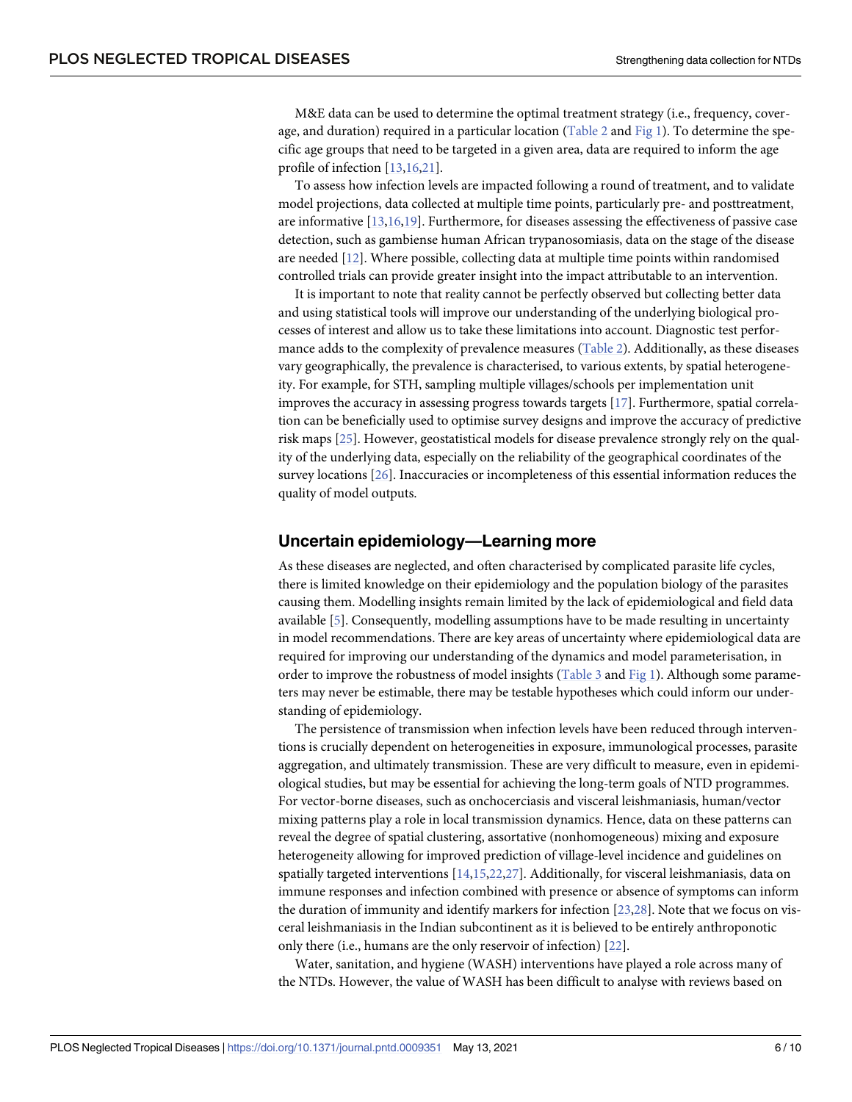<span id="page-5-0"></span>M&E data can be used to determine the optimal treatment strategy (i.e., frequency, cover-age, and duration) required in a particular location ([Table](#page-3-0) 2 and [Fig](#page-2-0) 1). To determine the specific age groups that need to be targeted in a given area, data are required to inform the age profile of infection [[13](#page-8-0),[16,21\]](#page-8-0).

To assess how infection levels are impacted following a round of treatment, and to validate model projections, data collected at multiple time points, particularly pre- and posttreatment, are informative [[13](#page-8-0),[16,19\]](#page-8-0). Furthermore, for diseases assessing the effectiveness of passive case detection, such as gambiense human African trypanosomiasis, data on the stage of the disease are needed [[12](#page-8-0)]. Where possible, collecting data at multiple time points within randomised controlled trials can provide greater insight into the impact attributable to an intervention.

It is important to note that reality cannot be perfectly observed but collecting better data and using statistical tools will improve our understanding of the underlying biological processes of interest and allow us to take these limitations into account. Diagnostic test performance adds to the complexity of prevalence measures ([Table](#page-3-0) 2). Additionally, as these diseases vary geographically, the prevalence is characterised, to various extents, by spatial heterogeneity. For example, for STH, sampling multiple villages/schools per implementation unit improves the accuracy in assessing progress towards targets [[17](#page-8-0)]. Furthermore, spatial correlation can be beneficially used to optimise survey designs and improve the accuracy of predictive risk maps [\[25\]](#page-8-0). However, geostatistical models for disease prevalence strongly rely on the quality of the underlying data, especially on the reliability of the geographical coordinates of the survey locations [[26](#page-9-0)]. Inaccuracies or incompleteness of this essential information reduces the quality of model outputs.

#### **Uncertain epidemiology—Learning more**

As these diseases are neglected, and often characterised by complicated parasite life cycles, there is limited knowledge on their epidemiology and the population biology of the parasites causing them. Modelling insights remain limited by the lack of epidemiological and field data available [\[5\]](#page-7-0). Consequently, modelling assumptions have to be made resulting in uncertainty in model recommendations. There are key areas of uncertainty where epidemiological data are required for improving our understanding of the dynamics and model parameterisation, in order to improve the robustness of model insights [\(Table](#page-4-0) 3 and [Fig](#page-2-0) 1). Although some parameters may never be estimable, there may be testable hypotheses which could inform our understanding of epidemiology.

The persistence of transmission when infection levels have been reduced through interventions is crucially dependent on heterogeneities in exposure, immunological processes, parasite aggregation, and ultimately transmission. These are very difficult to measure, even in epidemiological studies, but may be essential for achieving the long-term goals of NTD programmes. For vector-borne diseases, such as onchocerciasis and visceral leishmaniasis, human/vector mixing patterns play a role in local transmission dynamics. Hence, data on these patterns can reveal the degree of spatial clustering, assortative (nonhomogeneous) mixing and exposure heterogeneity allowing for improved prediction of village-level incidence and guidelines on spatially targeted interventions [\[14,15](#page-8-0),[22](#page-8-0)[,27\]](#page-9-0). Additionally, for visceral leishmaniasis, data on immune responses and infection combined with presence or absence of symptoms can inform the duration of immunity and identify markers for infection [[23](#page-8-0),[28](#page-9-0)]. Note that we focus on visceral leishmaniasis in the Indian subcontinent as it is believed to be entirely anthroponotic only there (i.e., humans are the only reservoir of infection) [[22](#page-8-0)].

Water, sanitation, and hygiene (WASH) interventions have played a role across many of the NTDs. However, the value of WASH has been difficult to analyse with reviews based on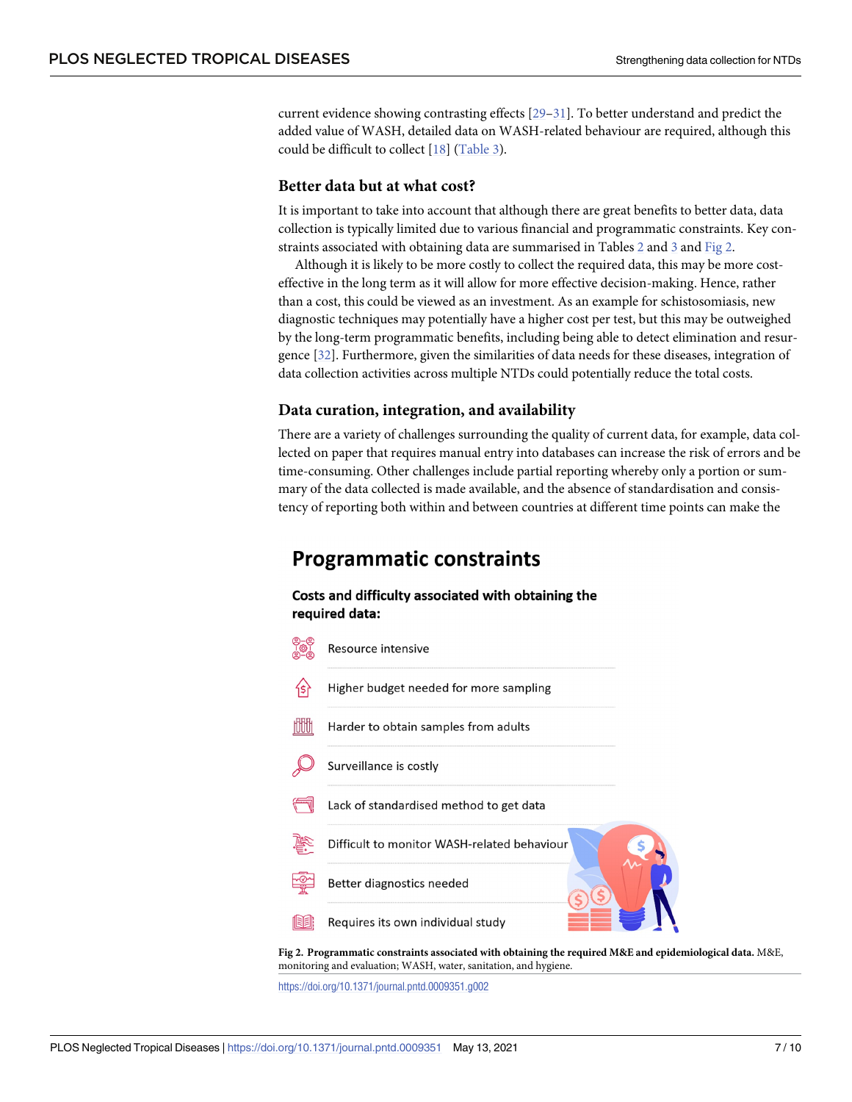<span id="page-6-0"></span>current evidence showing contrasting effects [[29](#page-9-0)–[31\]](#page-9-0). To better understand and predict the added value of WASH, detailed data on WASH-related behaviour are required, although this could be difficult to collect [\[18\]](#page-8-0) ([Table](#page-4-0) 3).

#### **Better data but at what cost?**

It is important to take into account that although there are great benefits to better data, data collection is typically limited due to various financial and programmatic constraints. Key constraints associated with obtaining data are summarised in Tables [2](#page-3-0) and [3](#page-4-0) and Fig 2.

Although it is likely to be more costly to collect the required data, this may be more costeffective in the long term as it will allow for more effective decision-making. Hence, rather than a cost, this could be viewed as an investment. As an example for schistosomiasis, new diagnostic techniques may potentially have a higher cost per test, but this may be outweighed by the long-term programmatic benefits, including being able to detect elimination and resurgence [\[32\]](#page-9-0). Furthermore, given the similarities of data needs for these diseases, integration of data collection activities across multiple NTDs could potentially reduce the total costs.

#### **Data curation, integration, and availability**

There are a variety of challenges surrounding the quality of current data, for example, data collected on paper that requires manual entry into databases can increase the risk of errors and be time-consuming. Other challenges include partial reporting whereby only a portion or summary of the data collected is made available, and the absence of standardisation and consistency of reporting both within and between countries at different time points can make the

## **Programmatic constraints**

#### Costs and difficulty associated with obtaining the required data:



**Fig 2. Programmatic constraints associated with obtaining the required M&E and epidemiological data.** M&E, monitoring and evaluation; WASH, water, sanitation, and hygiene.

<https://doi.org/10.1371/journal.pntd.0009351.g002>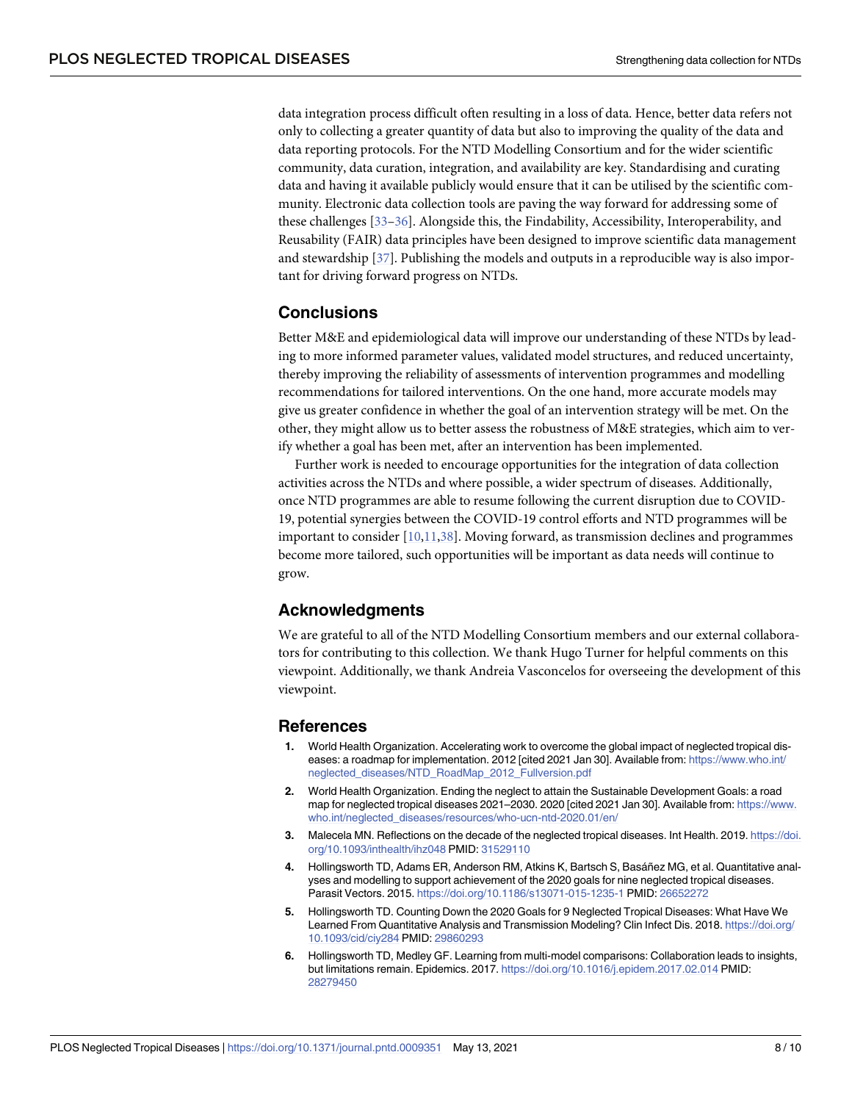<span id="page-7-0"></span>data integration process difficult often resulting in a loss of data. Hence, better data refers not only to collecting a greater quantity of data but also to improving the quality of the data and data reporting protocols. For the NTD Modelling Consortium and for the wider scientific community, data curation, integration, and availability are key. Standardising and curating data and having it available publicly would ensure that it can be utilised by the scientific community. Electronic data collection tools are paving the way forward for addressing some of these challenges [\[33–36](#page-9-0)]. Alongside this, the Findability, Accessibility, Interoperability, and Reusability (FAIR) data principles have been designed to improve scientific data management and stewardship [[37](#page-9-0)]. Publishing the models and outputs in a reproducible way is also important for driving forward progress on NTDs.

## **Conclusions**

Better M&E and epidemiological data will improve our understanding of these NTDs by leading to more informed parameter values, validated model structures, and reduced uncertainty, thereby improving the reliability of assessments of intervention programmes and modelling recommendations for tailored interventions. On the one hand, more accurate models may give us greater confidence in whether the goal of an intervention strategy will be met. On the other, they might allow us to better assess the robustness of M&E strategies, which aim to verify whether a goal has been met, after an intervention has been implemented.

Further work is needed to encourage opportunities for the integration of data collection activities across the NTDs and where possible, a wider spectrum of diseases. Additionally, once NTD programmes are able to resume following the current disruption due to COVID-19, potential synergies between the COVID-19 control efforts and NTD programmes will be important to consider [\[10](#page-8-0),[11](#page-8-0),[38\]](#page-9-0). Moving forward, as transmission declines and programmes become more tailored, such opportunities will be important as data needs will continue to grow.

#### **Acknowledgments**

We are grateful to all of the NTD Modelling Consortium members and our external collaborators for contributing to this collection. We thank Hugo Turner for helpful comments on this viewpoint. Additionally, we thank Andreia Vasconcelos for overseeing the development of this viewpoint.

#### **References**

- **[1](#page-1-0).** World Health Organization. Accelerating work to overcome the global impact of neglected tropical diseases: a roadmap for implementation. 2012 [cited 2021 Jan 30]. Available from: [https://www.who.int/](https://www.who.int/neglected_diseases/NTD_RoadMap_2012_Fullversion.pdf) [neglected\\_diseases/NTD\\_RoadMap\\_2012\\_Fullversion.pdf](https://www.who.int/neglected_diseases/NTD_RoadMap_2012_Fullversion.pdf)
- **[2](#page-1-0).** World Health Organization. Ending the neglect to attain the Sustainable Development Goals: a road map for neglected tropical diseases 2021–2030. 2020 [cited 2021 Jan 30]. Available from: [https://www.](https://www.who.int/neglected_diseases/resources/who-ucn-ntd-2020.01/en/) [who.int/neglected\\_diseases/resources/who-ucn-ntd-2020.01/en/](https://www.who.int/neglected_diseases/resources/who-ucn-ntd-2020.01/en/)
- **[3](#page-1-0).** Malecela MN. Reflections on the decade of the neglected tropical diseases. Int Health. 2019. [https://doi.](https://doi.org/10.1093/inthealth/ihz048) [org/10.1093/inthealth/ihz048](https://doi.org/10.1093/inthealth/ihz048) PMID: [31529110](http://www.ncbi.nlm.nih.gov/pubmed/31529110)
- **[4](#page-1-0).** Hollingsworth TD, Adams ER, Anderson RM, Atkins K, Bartsch S, Basa´ñez MG, et al. Quantitative analyses and modelling to support achievement of the 2020 goals for nine neglected tropical diseases. Parasit Vectors. 2015. <https://doi.org/10.1186/s13071-015-1235-1> PMID: [26652272](http://www.ncbi.nlm.nih.gov/pubmed/26652272)
- **[5](#page-5-0).** Hollingsworth TD. Counting Down the 2020 Goals for 9 Neglected Tropical Diseases: What Have We Learned From Quantitative Analysis and Transmission Modeling? Clin Infect Dis. 2018. [https://doi.org/](https://doi.org/10.1093/cid/ciy284) [10.1093/cid/ciy284](https://doi.org/10.1093/cid/ciy284) PMID: [29860293](http://www.ncbi.nlm.nih.gov/pubmed/29860293)
- **[6](#page-1-0).** Hollingsworth TD, Medley GF. Learning from multi-model comparisons: Collaboration leads to insights, but limitations remain. Epidemics. 2017. <https://doi.org/10.1016/j.epidem.2017.02.014> PMID: [28279450](http://www.ncbi.nlm.nih.gov/pubmed/28279450)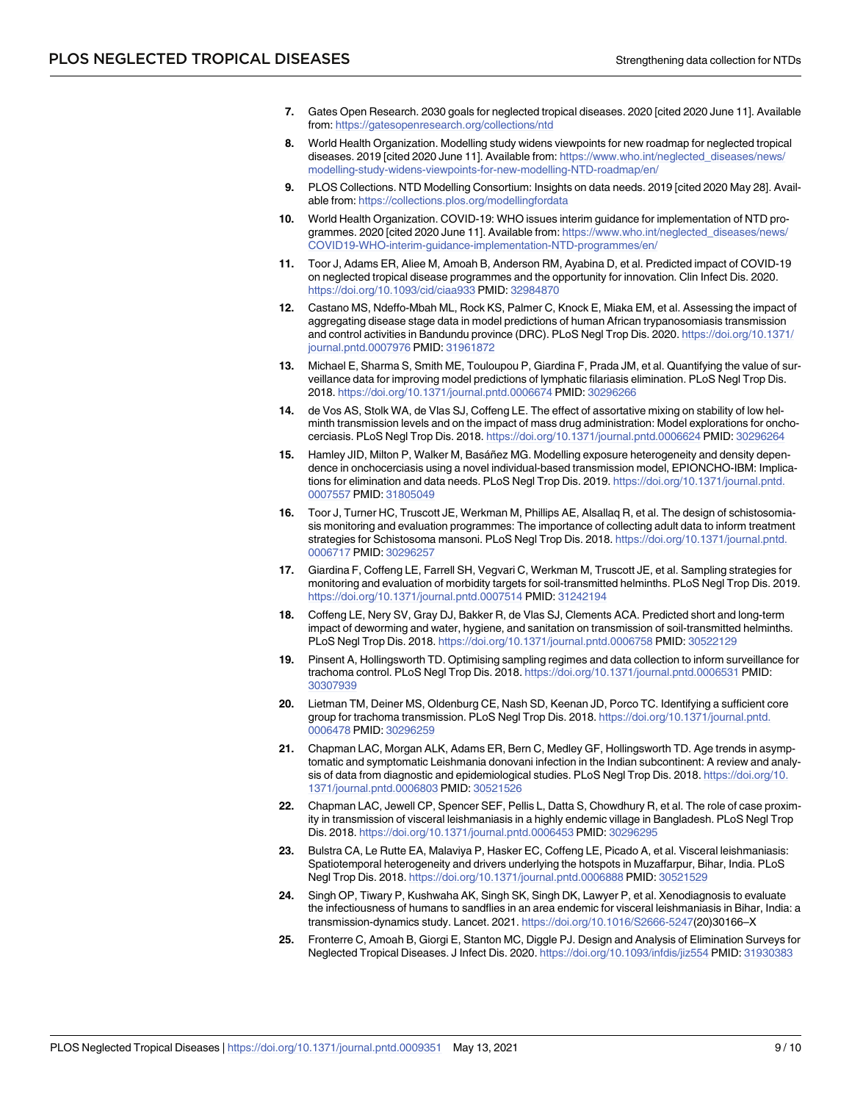- <span id="page-8-0"></span>**[7](#page-1-0).** Gates Open Research. 2030 goals for neglected tropical diseases. 2020 [cited 2020 June 11]. Available from: <https://gatesopenresearch.org/collections/ntd>
- **[8](#page-1-0).** World Health Organization. Modelling study widens viewpoints for new roadmap for neglected tropical diseases. 2019 [cited 2020 June 11]. Available from: [https://www.who.int/neglected\\_diseases/news/](https://www.who.int/neglected_diseases/news/modelling-study-widens-viewpoints-for-new-modelling-NTD-roadmap/en/) [modelling-study-widens-viewpoints-for-new-modelling-NTD-roadmap/en/](https://www.who.int/neglected_diseases/news/modelling-study-widens-viewpoints-for-new-modelling-NTD-roadmap/en/)
- **[9](#page-1-0).** PLOS Collections. NTD Modelling Consortium: Insights on data needs. 2019 [cited 2020 May 28]. Available from: <https://collections.plos.org/modellingfordata>
- **[10](#page-1-0).** World Health Organization. COVID-19: WHO issues interim guidance for implementation of NTD programmes. 2020 [cited 2020 June 11]. Available from: [https://www.who.int/neglected\\_diseases/news/](https://www.who.int/neglected_diseases/news/COVID19-WHO-interim-guidance-implementation-NTD-programmes/en/) [COVID19-WHO-interim-guidance-implementation-NTD-programmes/en/](https://www.who.int/neglected_diseases/news/COVID19-WHO-interim-guidance-implementation-NTD-programmes/en/)
- **[11](#page-1-0).** Toor J, Adams ER, Aliee M, Amoah B, Anderson RM, Ayabina D, et al. Predicted impact of COVID-19 on neglected tropical disease programmes and the opportunity for innovation. Clin Infect Dis. 2020. <https://doi.org/10.1093/cid/ciaa933> PMID: [32984870](http://www.ncbi.nlm.nih.gov/pubmed/32984870)
- **[12](#page-2-0).** Castano MS, Ndeffo-Mbah ML, Rock KS, Palmer C, Knock E, Miaka EM, et al. Assessing the impact of aggregating disease stage data in model predictions of human African trypanosomiasis transmission and control activities in Bandundu province (DRC). PLoS Negl Trop Dis. 2020. [https://doi.org/10.1371/](https://doi.org/10.1371/journal.pntd.0007976) [journal.pntd.0007976](https://doi.org/10.1371/journal.pntd.0007976) PMID: [31961872](http://www.ncbi.nlm.nih.gov/pubmed/31961872)
- **[13](#page-2-0).** Michael E, Sharma S, Smith ME, Touloupou P, Giardina F, Prada JM, et al. Quantifying the value of surveillance data for improving model predictions of lymphatic filariasis elimination. PLoS Negl Trop Dis. 2018. <https://doi.org/10.1371/journal.pntd.0006674> PMID: [30296266](http://www.ncbi.nlm.nih.gov/pubmed/30296266)
- **[14](#page-2-0).** de Vos AS, Stolk WA, de Vlas SJ, Coffeng LE. The effect of assortative mixing on stability of low helminth transmission levels and on the impact of mass drug administration: Model explorations for onchocerciasis. PLoS Negl Trop Dis. 2018. <https://doi.org/10.1371/journal.pntd.0006624> PMID: [30296264](http://www.ncbi.nlm.nih.gov/pubmed/30296264)
- **[15](#page-2-0).** Hamley JID, Milton P, Walker M, Basa´ñez MG. Modelling exposure heterogeneity and density dependence in onchocerciasis using a novel individual-based transmission model, EPIONCHO-IBM: Implications for elimination and data needs. PLoS Negl Trop Dis. 2019. [https://doi.org/10.1371/journal.pntd.](https://doi.org/10.1371/journal.pntd.0007557) [0007557](https://doi.org/10.1371/journal.pntd.0007557) PMID: [31805049](http://www.ncbi.nlm.nih.gov/pubmed/31805049)
- **[16](#page-2-0).** Toor J, Turner HC, Truscott JE, Werkman M, Phillips AE, Alsallaq R, et al. The design of schistosomiasis monitoring and evaluation programmes: The importance of collecting adult data to inform treatment strategies for Schistosoma mansoni. PLoS Negl Trop Dis. 2018. [https://doi.org/10.1371/journal.pntd.](https://doi.org/10.1371/journal.pntd.0006717) [0006717](https://doi.org/10.1371/journal.pntd.0006717) PMID: [30296257](http://www.ncbi.nlm.nih.gov/pubmed/30296257)
- **[17](#page-2-0).** Giardina F, Coffeng LE, Farrell SH, Vegvari C, Werkman M, Truscott JE, et al. Sampling strategies for monitoring and evaluation of morbidity targets for soil-transmitted helminths. PLoS Negl Trop Dis. 2019. <https://doi.org/10.1371/journal.pntd.0007514> PMID: [31242194](http://www.ncbi.nlm.nih.gov/pubmed/31242194)
- **[18](#page-2-0).** Coffeng LE, Nery SV, Gray DJ, Bakker R, de Vlas SJ, Clements ACA. Predicted short and long-term impact of deworming and water, hygiene, and sanitation on transmission of soil-transmitted helminths. PLoS Negl Trop Dis. 2018. <https://doi.org/10.1371/journal.pntd.0006758> PMID: [30522129](http://www.ncbi.nlm.nih.gov/pubmed/30522129)
- **[19](#page-2-0).** Pinsent A, Hollingsworth TD. Optimising sampling regimes and data collection to inform surveillance for trachoma control. PLoS Negl Trop Dis. 2018. <https://doi.org/10.1371/journal.pntd.0006531> PMID: [30307939](http://www.ncbi.nlm.nih.gov/pubmed/30307939)
- **[20](#page-2-0).** Lietman TM, Deiner MS, Oldenburg CE, Nash SD, Keenan JD, Porco TC. Identifying a sufficient core group for trachoma transmission. PLoS Negl Trop Dis. 2018. [https://doi.org/10.1371/journal.pntd.](https://doi.org/10.1371/journal.pntd.0006478) [0006478](https://doi.org/10.1371/journal.pntd.0006478) PMID: [30296259](http://www.ncbi.nlm.nih.gov/pubmed/30296259)
- **[21](#page-2-0).** Chapman LAC, Morgan ALK, Adams ER, Bern C, Medley GF, Hollingsworth TD. Age trends in asymptomatic and symptomatic Leishmania donovani infection in the Indian subcontinent: A review and analysis of data from diagnostic and epidemiological studies. PLoS Negl Trop Dis. 2018. [https://doi.org/10.](https://doi.org/10.1371/journal.pntd.0006803) [1371/journal.pntd.0006803](https://doi.org/10.1371/journal.pntd.0006803) PMID: [30521526](http://www.ncbi.nlm.nih.gov/pubmed/30521526)
- **[22](#page-4-0).** Chapman LAC, Jewell CP, Spencer SEF, Pellis L, Datta S, Chowdhury R, et al. The role of case proximity in transmission of visceral leishmaniasis in a highly endemic village in Bangladesh. PLoS Negl Trop Dis. 2018. <https://doi.org/10.1371/journal.pntd.0006453> PMID: [30296295](http://www.ncbi.nlm.nih.gov/pubmed/30296295)
- **[23](#page-2-0).** Bulstra CA, Le Rutte EA, Malaviya P, Hasker EC, Coffeng LE, Picado A, et al. Visceral leishmaniasis: Spatiotemporal heterogeneity and drivers underlying the hotspots in Muzaffarpur, Bihar, India. PLoS Negl Trop Dis. 2018. <https://doi.org/10.1371/journal.pntd.0006888> PMID: [30521529](http://www.ncbi.nlm.nih.gov/pubmed/30521529)
- **[24](#page-4-0).** Singh OP, Tiwary P, Kushwaha AK, Singh SK, Singh DK, Lawyer P, et al. Xenodiagnosis to evaluate the infectiousness of humans to sandflies in an area endemic for visceral leishmaniasis in Bihar, India: a transmission-dynamics study. Lancet. 2021. <https://doi.org/10.1016/S2666-5247>(20)30166–X
- **[25](#page-5-0).** Fronterre C, Amoah B, Giorgi E, Stanton MC, Diggle PJ. Design and Analysis of Elimination Surveys for Neglected Tropical Diseases. J Infect Dis. 2020. <https://doi.org/10.1093/infdis/jiz554> PMID: [31930383](http://www.ncbi.nlm.nih.gov/pubmed/31930383)